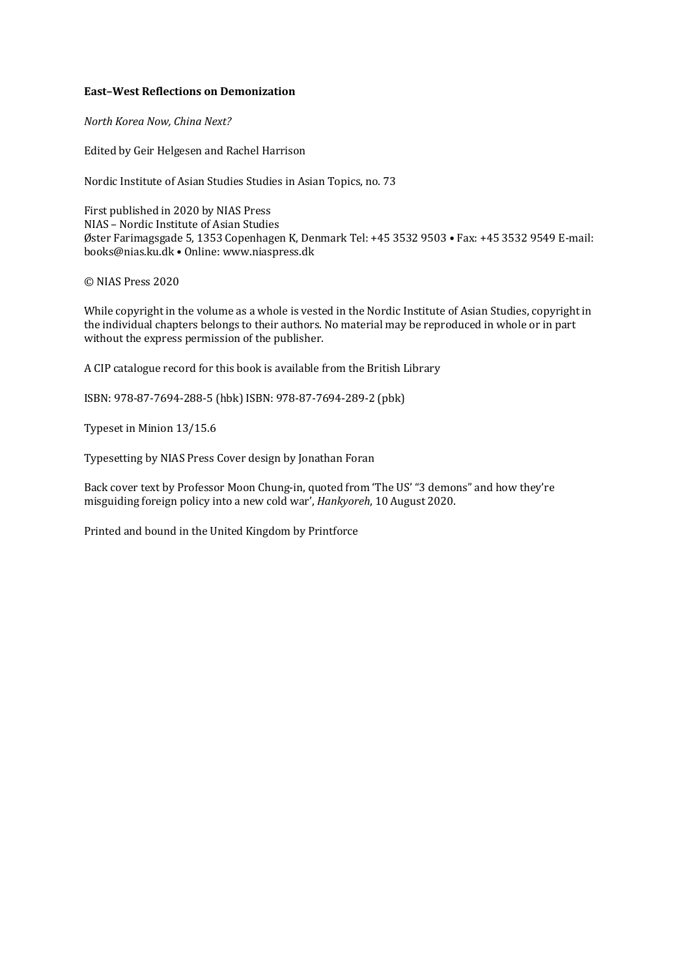## **East-West Reflections on Demonization**

*North Korea Now, China Next?* 

Edited by Geir Helgesen and Rachel Harrison

Nordic Institute of Asian Studies Studies in Asian Topics, no. 73

First published in 2020 by NIAS Press NIAS - Nordic Institute of Asian Studies Øster Farimagsgade 5, 1353 Copenhagen K, Denmark Tel: +45 3532 9503 • Fax: +45 3532 9549 E-mail: books@nias.ku.dk • Online: www.niaspress.dk

© NIAS Press 2020 

While copyright in the volume as a whole is vested in the Nordic Institute of Asian Studies, copyright in the individual chapters belongs to their authors. No material may be reproduced in whole or in part without the express permission of the publisher.

A CIP catalogue record for this book is available from the British Library

ISBN: 978-87-7694-288-5 (hbk) ISBN: 978-87-7694-289-2 (pbk)

Typeset in Minion 13/15.6

Typesetting by NIAS Press Cover design by Jonathan Foran

Back cover text by Professor Moon Chung-in, quoted from 'The US' "3 demons" and how they're misguiding foreign policy into a new cold war', *Hankyoreh*, 10 August 2020.

Printed and bound in the United Kingdom by Printforce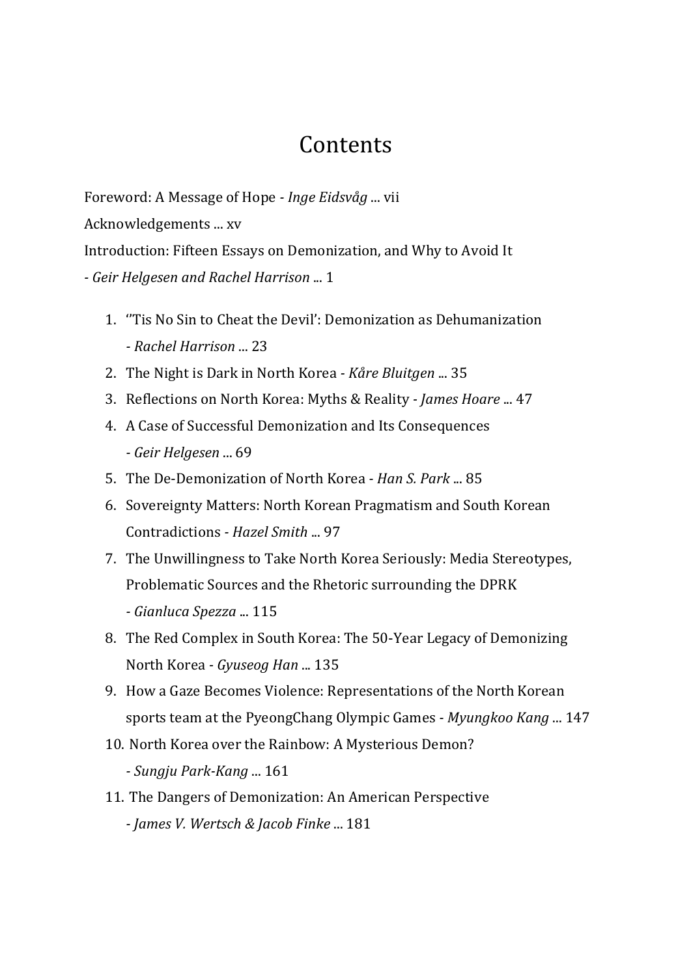## **Contents**

Foreword: A Message of Hope *- Inge Eidsvåg* ... vii Acknowledgements ... xv Introduction: Fifteen Essays on Demonization, and Why to Avoid It *- Geir Helgesen and Rachel Harrison* ... 1 

- 1. Tis No Sin to Cheat the Devil': Demonization as Dehumanization *- Rachel Harrison* ... 23
- 2. The Night is Dark in North Korea *Kåre Bluitgen* ... 35
- 3. Reflections on North Korea: Myths & Reality  *James Hoare* ... 47
- 4. A Case of Successful Demonization and Its Consequences *- Geir Helgesen* ... 69
- 5. The De-Demonization of North Korea  *Han S. Park* ... 85
- 6. Sovereignty Matters: North Korean Pragmatism and South Korean Contradictions *- Hazel Smith* ... 97
- 7. The Unwillingness to Take North Korea Seriously: Media Stereotypes, Problematic Sources and the Rhetoric surrounding the DPRK *- Gianluca Spezza* ... 115
- 8. The Red Complex in South Korea: The 50-Year Legacy of Demonizing North Korea *- Gyuseog Han* ... 135
- 9. How a Gaze Becomes Violence: Representations of the North Korean sports team at the PyeongChang Olympic Games - *Myungkoo Kang* ... 147
- 10. North Korea over the Rainbow: A Mysterious Demon? *- Sungju Park-Kang* ... 161
- 11. The Dangers of Demonization: An American Perspective *- James V. Wertsch & Jacob Finke* ... 181